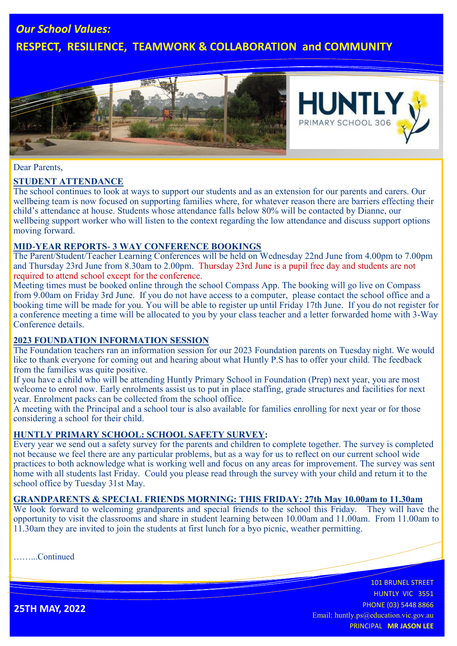# *Our School Values:*

# **RESPECT, RESILIENCE, TEAMWORK & COLLABORATION and COMMUNITY**





#### Dear Parents,

## **STUDENT ATTENDANCE**

The school continues to look at ways to support our students and as an extension for our parents and carers. Our wellbeing team is now focused on supporting families where, for whatever reason there are barriers effecting their child's attendance at house. Students whose attendance falls below 80% will be contacted by Dianne, our wellbeing support worker who will listen to the context regarding the low attendance and discuss support options moving forward.

## **MID-YEAR REPORTS- 3 WAY CONFERENCE BOOKINGS**

The Parent/Student/Teacher Learning Conferences will be held on Wednesday 22nd June from 4.00pm to 7.00pm and Thursday 23rd June from 8.30am to 2.00pm. Thursday 23rd June is a pupil free day and students are not required to attend school except for the conference.

Meeting times must be booked online through the school Compass App. The booking will go live on Compass from 9.00am on Friday 3rd June. If you do not have access to a computer, please contact the school office and a booking time will be made for you. You will be able to register up until Friday 17th June. If you do not register for a conference meeting a time will be allocated to you by your class teacher and a letter forwarded home with 3-Way Conference details.

#### **2023 FOUNDATION INFORMATION SESSION**

The Foundation teachers ran an information session for our 2023 Foundation parents on Tuesday night. We would like to thank everyone for coming out and hearing about what Huntly P.S has to offer your child. The feedback from the families was quite positive.

If you have a child who will be attending Huntly Primary School in Foundation (Prep) next year, you are most welcome to enrol now. Early enrolments assist us to put in place staffing, grade structures and facilities for next year. Enrolment packs can be collected from the school office.

A meeting with the Principal and a school tour is also available for families enrolling for next year or for those considering a school for their child.

## **HUNTLY PRIMARY SCHOOL: SCHOOL SAFETY SURVEY:**

Every year we send out a safety survey for the parents and children to complete together. The survey is completed not because we feel there are any particular problems, but as a way for us to reflect on our current school wide practices to both acknowledge what is working well and focus on any areas for improvement. The survey was sent home with all students last Friday. Could you please read through the survey with your child and return it to the school office by Tuesday 31st May.

## **GRANDPARENTS & SPECIAL FRIENDS MORNING: THIS FRIDAY: 27th May 10.00am to 11.30am**

We look forward to welcoming grandparents and special friends to the school this Friday. They will have the opportunity to visit the classrooms and share in student learning between 10.00am and 11.00am. From 11.00am to 11.30am they are invited to join the students at first lunch for a byo picnic, weather permitting.

……...Continued

101 BRUNEL STREET HUNTLY VIC 3551 PHONE (03) 5448 8866 Email: huntly.ps@education.vic.gov.au PRINCIPAL **MR JASON LEE**

**25TH MAY, 2022**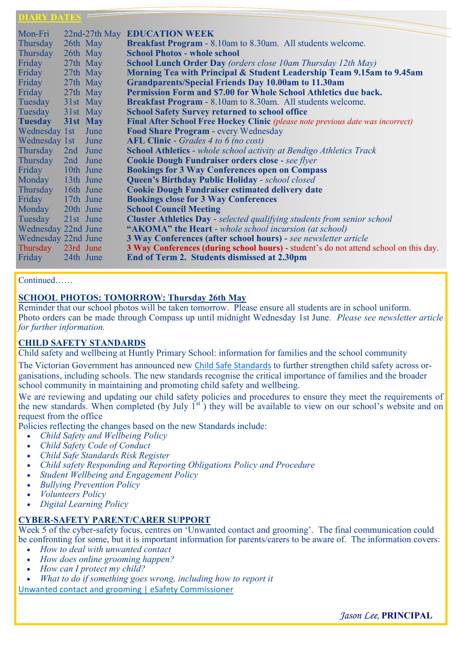#### **LARY DATES**

| Mon-Fri             |           |      | 22nd-27th May EDUCATION WEEK                                                          |
|---------------------|-----------|------|---------------------------------------------------------------------------------------|
| Thursday            | 26th May  |      | Breakfast Program - 8.10am to 8.30am. All students welcome.                           |
| Thursday            | 26th May  |      | <b>School Photos - whole school</b>                                                   |
| Friday              | 27th May  |      | <b>School Lunch Order Day</b> (orders close 10am Thursday 12th May)                   |
| Friday              | 27th May  |      | Morning Tea with Principal & Student Leadership Team 9.15am to 9.45am                 |
| Friday              | 27th May  |      | <b>Grandparents/Special Friends Day 10.00am to 11.30am</b>                            |
|                     |           |      |                                                                                       |
| Friday              | 27th May  |      | Permission Form and \$7.00 for Whole School Athletics due back.                       |
| Tuesday             | 31st May  |      | <b>Breakfast Program - 8.10am to 8.30am. All students welcome.</b>                    |
| Tuesday             | 31st May  |      | <b>School Safety Survey returned to school office</b>                                 |
| <b>Tuesday</b>      | 31st May  |      | Final After School Free Hockey Clinic (please note previous date was incorrect)       |
| Wednesday 1st       |           | June | Food Share Program - every Wednesday                                                  |
| Wednesday 1st June  |           |      | AFL Clinic - Grades 4 to 6 (no cost)                                                  |
| Thursday            | 2nd June  |      | <b>School Athletics</b> - whole school activity at Bendigo Athletics Track            |
| Thursday            | 2nd June  |      | <b>Cookie Dough Fundraiser orders close - see flyer</b>                               |
| Friday 10th June    |           |      | <b>Bookings for 3 Way Conferences open on Compass</b>                                 |
| Monday 13th June    |           |      | Queen's Birthday Public Holiday - school closed                                       |
| Thursday 16th June  |           |      | <b>Cookie Dough Fundraiser estimated delivery date</b>                                |
| Friday 17th June    |           |      | <b>Bookings close for 3 Way Conferences</b>                                           |
| Monday 20th June    |           |      | <b>School Council Meeting</b>                                                         |
| Tuesday             | 21st June |      | <b>Cluster Athletics Day</b> - selected qualifying students from senior school        |
| Wednesday 22nd June |           |      | "AKOMA" the Heart - whole school incursion (at school)                                |
| Wednesday 22nd June |           |      | <b>3 Way Conferences (after school hours)</b> - see newsletter article                |
| Thursday            | 23rd June |      | 3 Way Conferences (during school hours) - student's do not attend school on this day. |
| Friday              | 24th June |      | End of Term 2. Students dismissed at 2.30pm                                           |
|                     |           |      |                                                                                       |

#### Continued……

#### **SCHOOL PHOTOS: TOMORROW: Thursday 26th May**

Reminder that our school photos will be taken tomorrow. Please ensure all students are in school uniform. Photo orders can be made through Compass up until midnight Wednesday 1st June*. Please see newsletter article for further information.*

## **CHILD SAFETY STANDARDS**

Child safety and wellbeing at Huntly Primary School: information for families and the school community

The Victorian Government has announced new [Child Safe Standards](https://ccyp.vic.gov.au/news/new-child-safe-standards-start-in-victoria-on-1-july-2022-to-better-protect-children/) to further strengthen child safety across organisations, including schools. The new standards recognise the critical importance of families and the broader school community in maintaining and promoting child safety and wellbeing.

We are reviewing and updating our child safety policies and procedures to ensure they meet the requirements of the new standards. When completed (by July  $1<sup>st</sup>$ ) they will be available to view on our school's website and on request from the office

Policies reflecting the changes based on the new Standards include:

- *Child Safety and Wellbeing Policy*
- *Child Safety Code of Conduct*
- *Child Safe Standards Risk Register*
- *Child safety Responding and Reporting Obligations Policy and Procedure*
- *Student Wellbeing and Engagement Policy*
- *Bullying Prevention Policy*
- *Volunteers Policy*
- *Digital Learning Policy*

#### **CYBER-SAFETY PARENT/CARER SUPPORT**

Week 5 of the cyber-safety focus, centres on 'Unwanted contact and grooming'. The final communication could be confronting for some, but it is important information for parents/carers to be aware of. The information covers:

- *How to deal with unwanted contact*
- *How does online grooming happen?*
- *How can I protect my child?*
- *What to do if something goes wrong, including how to report it*

[Unwanted contact and grooming | eSafety Commissioner](https://www.esafety.gov.au/parents/big-issues/unwanted-contact)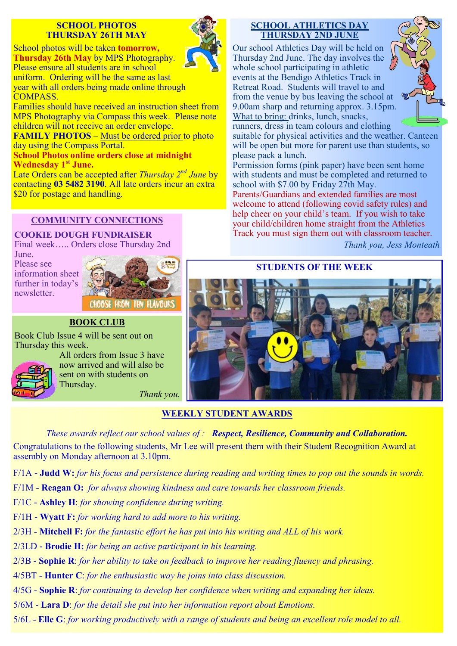## **SCHOOL PHOTOS THURSDAY 26TH MAY**



School photos will be taken **tomorrow, Thursday 26th May** by MPS Photography. Please ensure all students are in school uniform. Ordering will be the same as last year with all orders being made online through COMPASS.

Families should have received an instruction sheet from MPS Photography via Compass this week. Please note children will not receive an order envelope.

**FAMILY PHOTOS** – Must be ordered prior to photo day using the Compass Portal.

**School Photos online orders close at midnight Wednesday 1st June.**

Late Orders can be accepted after *Thursday 2nd June* by contacting **03 5482 3190**. All late orders incur an extra \$20 for postage and handling.

## **COMMUNITY CONNECTIONS**

**COOKIE DOUGH FUNDRAISER** 

Final week….. Orders close Thursday 2nd June.

Please see information sheet further in today's newsletter.



# **BOOK CLUB**

Book Club Issue 4 will be sent out on Thursday this week.



All orders from Issue 3 have now arrived and will also be sent on with students on Thursday.

*Thank you.*

## **SCHOOL ATHLETICS DAY THURSDAY 2ND JUNE**

Our school Athletics Day will be held on Thursday 2nd June. The day involves the whole school participating in athletic events at the Bendigo Athletics Track in Retreat Road. Students will travel to and from the venue by bus leaving the school at 9.00am sharp and returning approx. 3.15pm. What to bring: drinks, lunch, snacks, runners, dress in team colours and clothing



suitable for physical activities and the weather. Canteen will be open but more for parent use than students, so please pack a lunch.

Permission forms (pink paper) have been sent home with students and must be completed and returned to school with \$7.00 by Friday 27th May.

Parents/Guardians and extended families are most welcome to attend (following covid safety rules) and help cheer on your child's team. If you wish to take your child/children home straight from the Athletics Track you must sign them out with classroom teacher.

*Thank you, Jess Monteath*

# **STUDENTS OF THE WEEK**



## **WEEKLY STUDENT AWARDS**

*These awards reflect our school values of : Respect, Resilience, Community and Collaboration.*  Congratulations to the following students, Mr Lee will present them with their Student Recognition Award at assembly on Monday afternoon at 3.10pm.

F/1A - **Judd W:** *for his focus and persistence during reading and writing times to pop out the sounds in words.*

- F/1M **Reagan O:** *for always showing kindness and care towards her classroom friends.*
- F/1C **Ashley H**: *for showing confidence during writing.*
- F/1H **Wyatt F:** *for working hard to add more to his writing.*
- 2/3H **Mitchell F:** *for the fantastic effort he has put into his writing and ALL of his work.*
- 2/3LD **- Brodie H:** *for being an active participant in his learning.*
- 2/3B **Sophie R**: *for her ability to take on feedback to improve her reading fluency and phrasing.*
- 4/5BT **Hunter C**: *for the enthusiastic way he joins into class discussion.*
- 4/5G **Sophie R**: *for continuing to develop her confidence when writing and expanding her ideas.*
- 5/6M **Lara D**: *for the detail she put into her information report about Emotions.*
- 5/6L **Elle G**: *for working productively with a range of students and being an excellent role model to all.*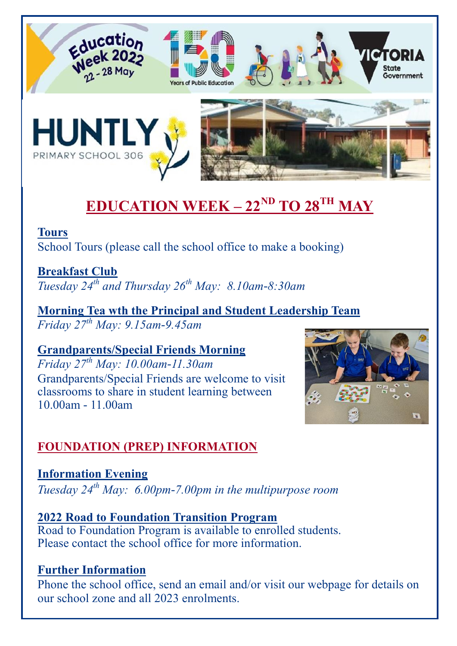

# **EDUCATION WEEK – 22ND TO 28TH MAY**

# **Tours** School Tours (please call the school office to make a booking)

**Breakfast Club** *Tuesday 24th and Thursday 26th May: 8.10am-8:30am*

**Morning Tea wth the Principal and Student Leadership Team**  *Friday 27th May: 9.15am-9.45am* 

**Grandparents/Special Friends Morning** *Friday 27th May: 10.00am-11.30am*

Grandparents/Special Friends are welcome to visit classrooms to share in student learning between 10.00am - 11.00am



# **FOUNDATION (PREP) INFORMATION**

# **Information Evening**

*Tuesday 24th May: 6.00pm-7.00pm in the multipurpose room* 

# **2022 Road to Foundation Transition Program**

Road to Foundation Program is available to enrolled students. Please contact the school office for more information.

# **Further Information**

Phone the school office, send an email and/or visit our webpage for details on our school zone and all 2023 enrolments.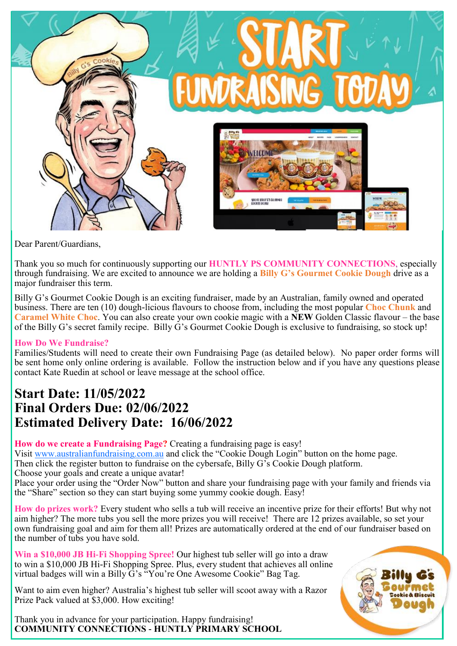

Dear Parent/Guardians,

Thank you so much for continuously supporting our **HUNTLY PS COMMUNITY CONNECTIONS**, especially through fundraising. We are excited to announce we are holding a **Billy G's Gourmet Cookie Dough** drive as a major fundraiser this term.

Billy G's Gourmet Cookie Dough is an exciting fundraiser, made by an Australian, family owned and operated business. There are ten (10) dough-licious flavours to choose from, including the most popular **Choc Chunk** and **Caramel White Choc**. You can also create your own cookie magic with a **NEW** Golden Classic flavour – the base of the Billy G's secret family recipe. Billy G's Gourmet Cookie Dough is exclusive to fundraising, so stock up!

## **How Do We Fundraise?**

Families/Students will need to create their own Fundraising Page (as detailed below). No paper order forms will be sent home only online ordering is available. Follow the instruction below and if you have any questions please contact Kate Ruedin at school or leave message at the school office.

# **Start Date: 11/05/2022 Final Orders Due: 02/06/2022 Estimated Delivery Date: 16/06/2022**

**How do we create a Fundraising Page?** Creating a fundraising page is easy!

Visit [www.australianfundraising.com.au](http://www.australianfundraising.com.au) and click the "Cookie Dough Login" button on the home page.

Then click the register button to fundraise on the cybersafe, Billy G's Cookie Dough platform.

Choose your goals and create a unique avatar!

Place your order using the "Order Now" button and share your fundraising page with your family and friends via the "Share" section so they can start buying some yummy cookie dough. Easy!

**How do prizes work?** Every student who sells a tub will receive an incentive prize for their efforts! But why not aim higher? The more tubs you sell the more prizes you will receive! There are 12 prizes available, so set your own fundraising goal and aim for them all! Prizes are automatically ordered at the end of our fundraiser based on the number of tubs you have sold.

**Win a \$10,000 JB Hi-Fi Shopping Spree!** Our highest tub seller will go into a draw to win a \$10,000 JB Hi-Fi Shopping Spree. Plus, every student that achieves all online virtual badges will win a Billy G's "You're One Awesome Cookie" Bag Tag.

Want to aim even higher? Australia's highest tub seller will scoot away with a Razor Prize Pack valued at \$3,000. How exciting!

Thank you in advance for your participation. Happy fundraising! **COMMUNITY CONNECTIONS - HUNTLY PRIMARY SCHOOL**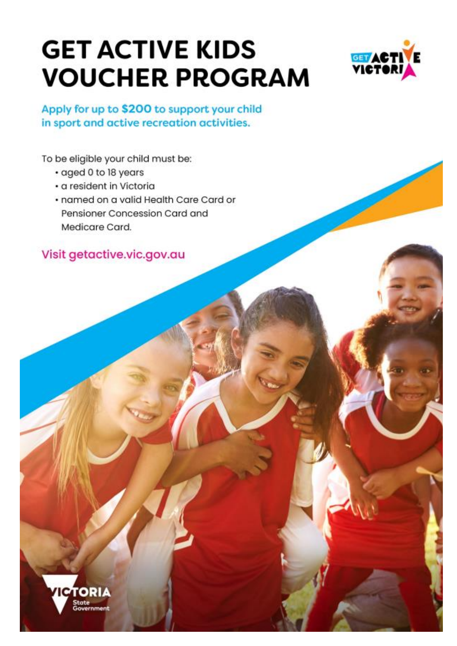# **GET ACTIVE KIDS VOUCHER PROGRAM**



Apply for up to \$200 to support your child in sport and active recreation activities.

To be eligible your child must be:

- · aged 0 to 18 years
- · a resident in Victoria
- · named on a valid Health Care Card or Pensioner Concession Card and Medicare Card.

Visit getactive.vic.gov.au